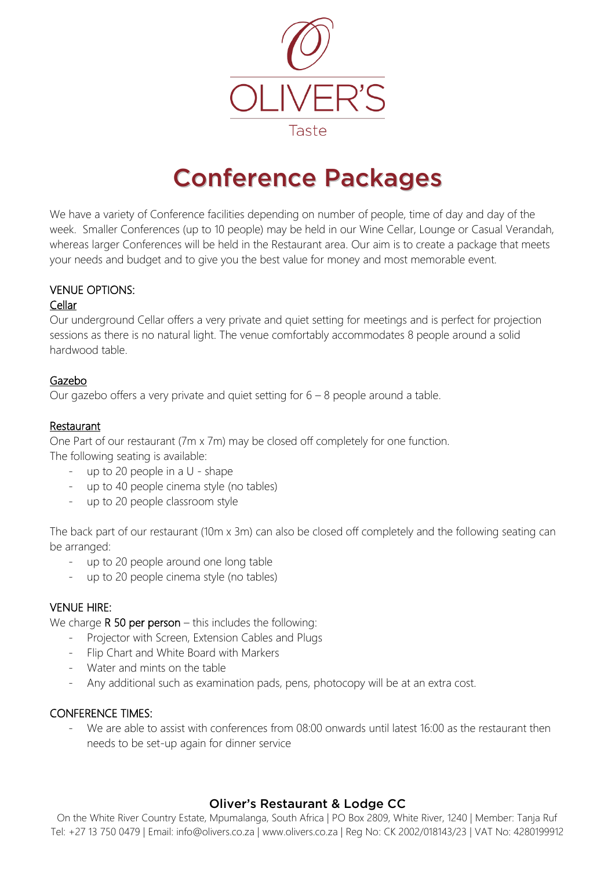

# Conference Packages

We have a variety of Conference facilities depending on number of people, time of day and day of the week. Smaller Conferences (up to 10 people) may be held in our Wine Cellar, Lounge or Casual Verandah, whereas larger Conferences will be held in the Restaurant area. Our aim is to create a package that meets your needs and budget and to give you the best value for money and most memorable event.

## VENUE OPTIONS:

#### Cellar

Our underground Cellar offers a very private and quiet setting for meetings and is perfect for projection sessions as there is no natural light. The venue comfortably accommodates 8 people around a solid hardwood table.

## Gazebo

Our gazebo offers a very private and quiet setting for  $6 - 8$  people around a table.

## Restaurant

One Part of our restaurant (7m x 7m) may be closed off completely for one function. The following seating is available:

- up to 20 people in a U shape
- up to 40 people cinema style (no tables)
- up to 20 people classroom style

The back part of our restaurant (10m x 3m) can also be closed off completely and the following seating can be arranged:

- up to 20 people around one long table
- up to 20 people cinema style (no tables)

## VENUE HIRE:

We charge  $R$  50 per person – this includes the following:

- Projector with Screen, Extension Cables and Plugs
- Flip Chart and White Board with Markers
- Water and mints on the table
- Any additional such as examination pads, pens, photocopy will be at an extra cost.

#### CONFERENCE TIMES:

We are able to assist with conferences from 08:00 onwards until latest 16:00 as the restaurant then needs to be set-up again for dinner service

## Oliver's Restaurant & Lodge CC

On the White River Country Estate, Mpumalanga, South Africa | PO Box 2809, White River, 1240 | Member: Tanja Ruf Tel: +27 13 750 0479 | Email: info@olivers.co.za | www.olivers.co.za | Reg No: CK 2002/018143/23 | VAT No: 4280199912